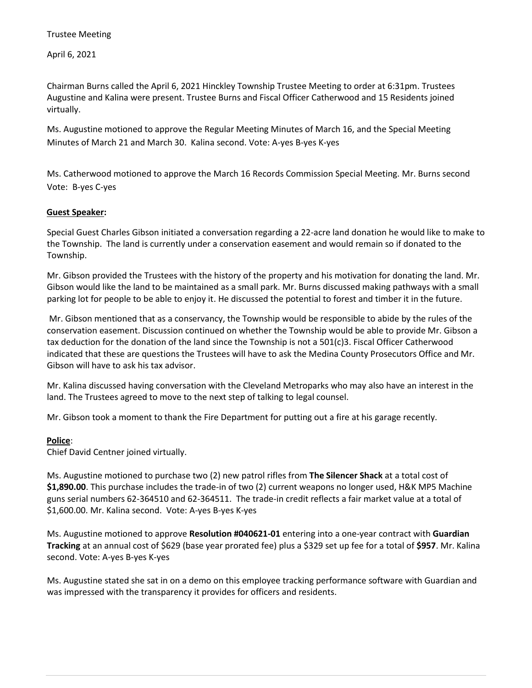April 6, 2021

Chairman Burns called the April 6, 2021 Hinckley Township Trustee Meeting to order at 6:31pm. Trustees Augustine and Kalina were present. Trustee Burns and Fiscal Officer Catherwood and 15 Residents joined virtually.

Ms. Augustine motioned to approve the Regular Meeting Minutes of March 16, and the Special Meeting Minutes of March 21 and March 30. Kalina second. Vote: A-yes B-yes K-yes

Ms. Catherwood motioned to approve the March 16 Records Commission Special Meeting. Mr. Burns second Vote: B-yes C-yes

## **Guest Speaker:**

Special Guest Charles Gibson initiated a conversation regarding a 22-acre land donation he would like to make to the Township. The land is currently under a conservation easement and would remain so if donated to the Township.

Mr. Gibson provided the Trustees with the history of the property and his motivation for donating the land. Mr. Gibson would like the land to be maintained as a small park. Mr. Burns discussed making pathways with a small parking lot for people to be able to enjoy it. He discussed the potential to forest and timber it in the future.

Mr. Gibson mentioned that as a conservancy, the Township would be responsible to abide by the rules of the conservation easement. Discussion continued on whether the Township would be able to provide Mr. Gibson a tax deduction for the donation of the land since the Township is not a 501(c)3. Fiscal Officer Catherwood indicated that these are questions the Trustees will have to ask the Medina County Prosecutors Office and Mr. Gibson will have to ask his tax advisor.

Mr. Kalina discussed having conversation with the Cleveland Metroparks who may also have an interest in the land. The Trustees agreed to move to the next step of talking to legal counsel.

Mr. Gibson took a moment to thank the Fire Department for putting out a fire at his garage recently.

## **Police**:

Chief David Centner joined virtually.

Ms. Augustine motioned to purchase two (2) new patrol rifles from **The Silencer Shack** at a total cost of **\$1,890.00**. This purchase includes the trade-in of two (2) current weapons no longer used, H&K MP5 Machine guns serial numbers 62-364510 and 62-364511. The trade-in credit reflects a fair market value at a total of \$1,600.00. Mr. Kalina second. Vote: A-yes B-yes K-yes

Ms. Augustine motioned to approve **Resolution #040621-01** entering into a one-year contract with **Guardian Tracking** at an annual cost of \$629 (base year prorated fee) plus a \$329 set up fee for a total of **\$957**. Mr. Kalina second. Vote: A-yes B-yes K-yes

Ms. Augustine stated she sat in on a demo on this employee tracking performance software with Guardian and was impressed with the transparency it provides for officers and residents.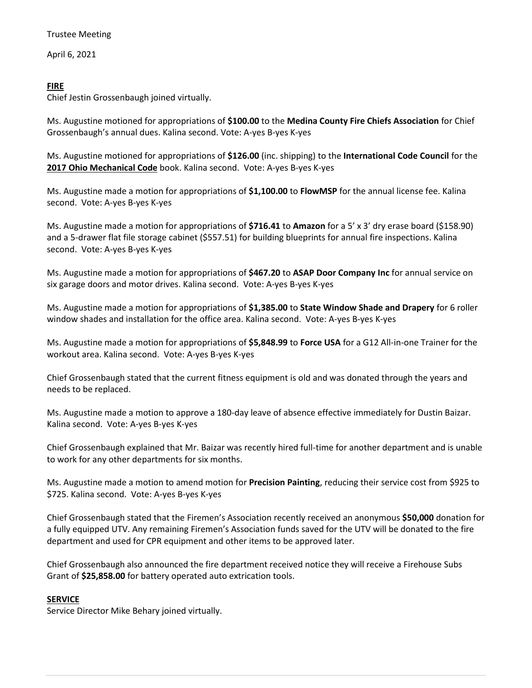April 6, 2021

# **FIRE**

Chief Jestin Grossenbaugh joined virtually.

Ms. Augustine motioned for appropriations of **\$100.00** to the **Medina County Fire Chiefs Association** for Chief Grossenbaugh's annual dues. Kalina second. Vote: A-yes B-yes K-yes

Ms. Augustine motioned for appropriations of **\$126.00** (inc. shipping) to the **International Code Council** for the **2017 Ohio Mechanical Code** book. Kalina second. Vote: A-yes B-yes K-yes

Ms. Augustine made a motion for appropriations of **\$1,100.00** to **FlowMSP** for the annual license fee. Kalina second. Vote: A-yes B-yes K-yes

Ms. Augustine made a motion for appropriations of **\$716.41** to **Amazon** for a 5' x 3' dry erase board (\$158.90) and a 5-drawer flat file storage cabinet (\$557.51) for building blueprints for annual fire inspections. Kalina second. Vote: A-yes B-yes K-yes

Ms. Augustine made a motion for appropriations of **\$467.20** to **ASAP Door Company Inc** for annual service on six garage doors and motor drives. Kalina second. Vote: A-yes B-yes K-yes

Ms. Augustine made a motion for appropriations of **\$1,385.00** to **State Window Shade and Drapery** for 6 roller window shades and installation for the office area. Kalina second. Vote: A-yes B-yes K-yes

Ms. Augustine made a motion for appropriations of **\$5,848.99** to **Force USA** for a G12 All-in-one Trainer for the workout area. Kalina second. Vote: A-yes B-yes K-yes

Chief Grossenbaugh stated that the current fitness equipment is old and was donated through the years and needs to be replaced.

Ms. Augustine made a motion to approve a 180-day leave of absence effective immediately for Dustin Baizar. Kalina second. Vote: A-yes B-yes K-yes

Chief Grossenbaugh explained that Mr. Baizar was recently hired full-time for another department and is unable to work for any other departments for six months.

Ms. Augustine made a motion to amend motion for **Precision Painting**, reducing their service cost from \$925 to \$725. Kalina second. Vote: A-yes B-yes K-yes

Chief Grossenbaugh stated that the Firemen's Association recently received an anonymous **\$50,000** donation for a fully equipped UTV. Any remaining Firemen's Association funds saved for the UTV will be donated to the fire department and used for CPR equipment and other items to be approved later.

Chief Grossenbaugh also announced the fire department received notice they will receive a Firehouse Subs Grant of **\$25,858.00** for battery operated auto extrication tools.

# **SERVICE**

Service Director Mike Behary joined virtually.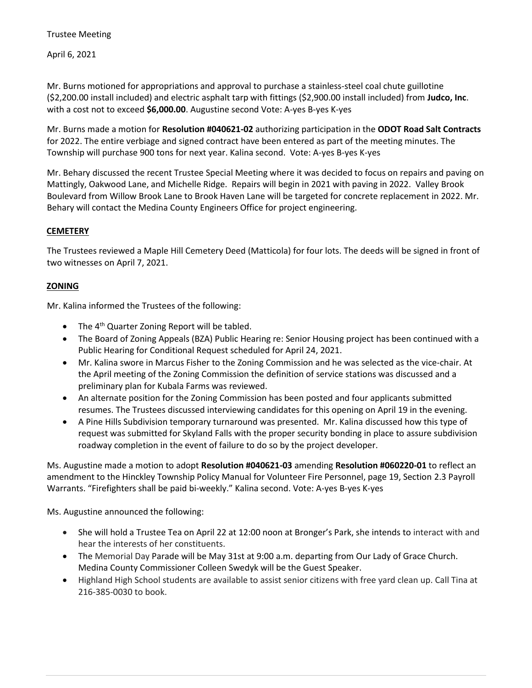April 6, 2021

Mr. Burns motioned for appropriations and approval to purchase a stainless-steel coal chute guillotine (\$2,200.00 install included) and electric asphalt tarp with fittings (\$2,900.00 install included) from **Judco, Inc**. with a cost not to exceed **\$6,000.00**. Augustine second Vote: A-yes B-yes K-yes

Mr. Burns made a motion for **Resolution #040621-02** authorizing participation in the **ODOT Road Salt Contracts** for 2022. The entire verbiage and signed contract have been entered as part of the meeting minutes. The Township will purchase 900 tons for next year. Kalina second. Vote: A-yes B-yes K-yes

Mr. Behary discussed the recent Trustee Special Meeting where it was decided to focus on repairs and paving on Mattingly, Oakwood Lane, and Michelle Ridge. Repairs will begin in 2021 with paving in 2022. Valley Brook Boulevard from Willow Brook Lane to Brook Haven Lane will be targeted for concrete replacement in 2022. Mr. Behary will contact the Medina County Engineers Office for project engineering.

# **CEMETERY**

The Trustees reviewed a Maple Hill Cemetery Deed (Matticola) for four lots. The deeds will be signed in front of two witnesses on April 7, 2021.

## **ZONING**

Mr. Kalina informed the Trustees of the following:

- The  $4<sup>th</sup>$  Quarter Zoning Report will be tabled.
- The Board of Zoning Appeals (BZA) Public Hearing re: Senior Housing project has been continued with a Public Hearing for Conditional Request scheduled for April 24, 2021.
- Mr. Kalina swore in Marcus Fisher to the Zoning Commission and he was selected as the vice-chair. At the April meeting of the Zoning Commission the definition of service stations was discussed and a preliminary plan for Kubala Farms was reviewed.
- An alternate position for the Zoning Commission has been posted and four applicants submitted resumes. The Trustees discussed interviewing candidates for this opening on April 19 in the evening.
- A Pine Hills Subdivision temporary turnaround was presented. Mr. Kalina discussed how this type of request was submitted for Skyland Falls with the proper security bonding in place to assure subdivision roadway completion in the event of failure to do so by the project developer.

Ms. Augustine made a motion to adopt **Resolution #040621-03** amending **Resolution #060220-01** to reflect an amendment to the Hinckley Township Policy Manual for Volunteer Fire Personnel, page 19, Section 2.3 Payroll Warrants. "Firefighters shall be paid bi-weekly." Kalina second. Vote: A-yes B-yes K-yes

Ms. Augustine announced the following:

- She will hold a Trustee Tea on April 22 at 12:00 noon at Bronger's Park, she intends to interact with and hear the interests of her constituents.
- The Memorial Day Parade will be May 31st at 9:00 a.m. departing from Our Lady of Grace Church. Medina County Commissioner Colleen Swedyk will be the Guest Speaker.
- Highland High School students are available to assist senior citizens with free yard clean up. Call Tina at 216-385-0030 to book.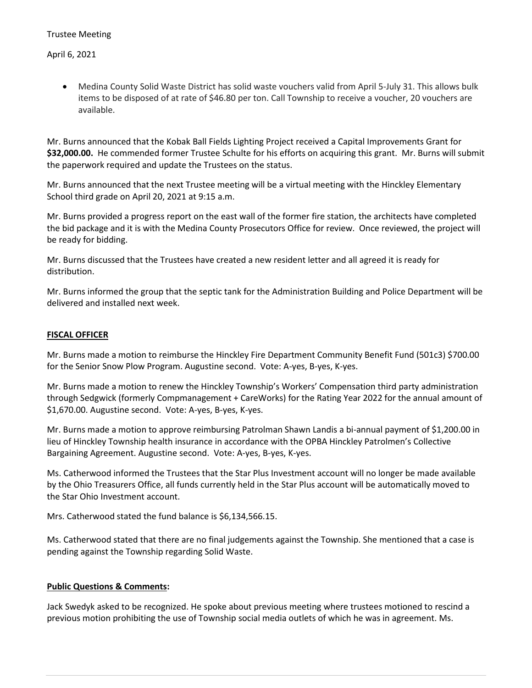April 6, 2021

• Medina County Solid Waste District has solid waste vouchers valid from April 5-July 31. This allows bulk items to be disposed of at rate of \$46.80 per ton. Call Township to receive a voucher, 20 vouchers are available.

Mr. Burns announced that the Kobak Ball Fields Lighting Project received a Capital Improvements Grant for **\$32,000.00.** He commended former Trustee Schulte for his efforts on acquiring this grant. Mr. Burns will submit the paperwork required and update the Trustees on the status.

Mr. Burns announced that the next Trustee meeting will be a virtual meeting with the Hinckley Elementary School third grade on April 20, 2021 at 9:15 a.m.

Mr. Burns provided a progress report on the east wall of the former fire station, the architects have completed the bid package and it is with the Medina County Prosecutors Office for review. Once reviewed, the project will be ready for bidding.

Mr. Burns discussed that the Trustees have created a new resident letter and all agreed it is ready for distribution.

Mr. Burns informed the group that the septic tank for the Administration Building and Police Department will be delivered and installed next week.

## **FISCAL OFFICER**

Mr. Burns made a motion to reimburse the Hinckley Fire Department Community Benefit Fund (501c3) \$700.00 for the Senior Snow Plow Program. Augustine second. Vote: A-yes, B-yes, K-yes.

Mr. Burns made a motion to renew the Hinckley Township's Workers' Compensation third party administration through Sedgwick (formerly Compmanagement + CareWorks) for the Rating Year 2022 for the annual amount of \$1,670.00. Augustine second. Vote: A-yes, B-yes, K-yes.

Mr. Burns made a motion to approve reimbursing Patrolman Shawn Landis a bi-annual payment of \$1,200.00 in lieu of Hinckley Township health insurance in accordance with the OPBA Hinckley Patrolmen's Collective Bargaining Agreement. Augustine second. Vote: A-yes, B-yes, K-yes.

Ms. Catherwood informed the Trustees that the Star Plus Investment account will no longer be made available by the Ohio Treasurers Office, all funds currently held in the Star Plus account will be automatically moved to the Star Ohio Investment account.

Mrs. Catherwood stated the fund balance is \$6,134,566.15.

Ms. Catherwood stated that there are no final judgements against the Township. She mentioned that a case is pending against the Township regarding Solid Waste.

## **Public Questions & Comments:**

Jack Swedyk asked to be recognized. He spoke about previous meeting where trustees motioned to rescind a previous motion prohibiting the use of Township social media outlets of which he was in agreement. Ms.